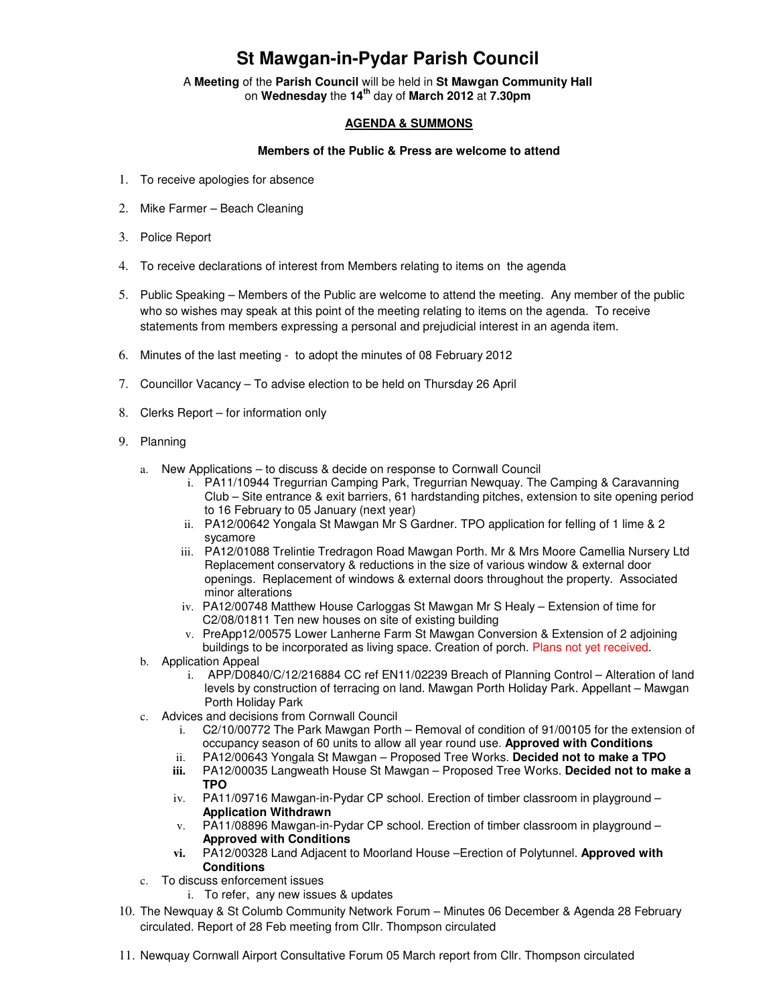## **St Mawgan-in-Pydar Parish Council**

A **Meeting** of the **Parish Council** will be held in **St Mawgan Community Hall** on **Wednesday** the **14th** day of **March 2012** at **7.30pm** 

## **AGENDA & SUMMONS**

## **Members of the Public & Press are welcome to attend**

- 1. To receive apologies for absence
- 2. Mike Farmer Beach Cleaning
- 3. Police Report
- 4. To receive declarations of interest from Members relating to items on the agenda
- 5. Public Speaking Members of the Public are welcome to attend the meeting. Any member of the public who so wishes may speak at this point of the meeting relating to items on the agenda. To receive statements from members expressing a personal and prejudicial interest in an agenda item.
- 6. Minutes of the last meeting to adopt the minutes of 08 February 2012
- 7. Councillor Vacancy To advise election to be held on Thursday 26 April
- 8. Clerks Report for information only
- 9. Planning
	- a. New Applications to discuss & decide on response to Cornwall Council
		- i. PA11/10944 Tregurrian Camping Park, Tregurrian Newquay. The Camping & Caravanning Club – Site entrance & exit barriers, 61 hardstanding pitches, extension to site opening period to 16 February to 05 January (next year)
		- ii. PA12/00642 Yongala St Mawgan Mr S Gardner. TPO application for felling of 1 lime & 2 sycamore
		- iii. PA12/01088 Trelintie Tredragon Road Mawgan Porth. Mr & Mrs Moore Camellia Nursery Ltd Replacement conservatory & reductions in the size of various window & external door openings. Replacement of windows & external doors throughout the property. Associated minor alterations
		- iv. PA12/00748 Matthew House Carloggas St Mawgan Mr S Healy Extension of time for C2/08/01811 Ten new houses on site of existing building
		- v. PreApp12/00575 Lower Lanherne Farm St Mawgan Conversion & Extension of 2 adjoining buildings to be incorporated as living space. Creation of porch. Plans not yet received.
	- b. Application Appeal
		- i. APP/D0840/C/12/216884 CC ref EN11/02239 Breach of Planning Control Alteration of land levels by construction of terracing on land. Mawgan Porth Holiday Park. Appellant – Mawgan Porth Holiday Park
	- c. Advices and decisions from Cornwall Council
		- i. C2/10/00772 The Park Mawgan Porth Removal of condition of 91/00105 for the extension of occupancy season of 60 units to allow all year round use. **Approved with Conditions**
		- ii. PA12/00643 Yongala St Mawgan Proposed Tree Works. **Decided not to make a TPO**
		- **iii.** PA12/00035 Langweath House St Mawgan Proposed Tree Works. **Decided not to make a TPO**
		- iv. PA11/09716 Mawgan-in-Pydar CP school. Erection of timber classroom in playground **Application Withdrawn**
		- v. PA11/08896 Mawgan-in-Pydar CP school. Erection of timber classroom in playground **Approved with Conditions**
		- **vi.** PA12/00328 Land Adjacent to Moorland House –Erection of Polytunnel. **Approved with Conditions**
	- c. To discuss enforcement issues
		- i. To refer, any new issues & updates
- 10. The Newquay & St Columb Community Network Forum Minutes 06 December & Agenda 28 February circulated. Report of 28 Feb meeting from Cllr. Thompson circulated
- 11. Newquay Cornwall Airport Consultative Forum 05 March report from Cllr. Thompson circulated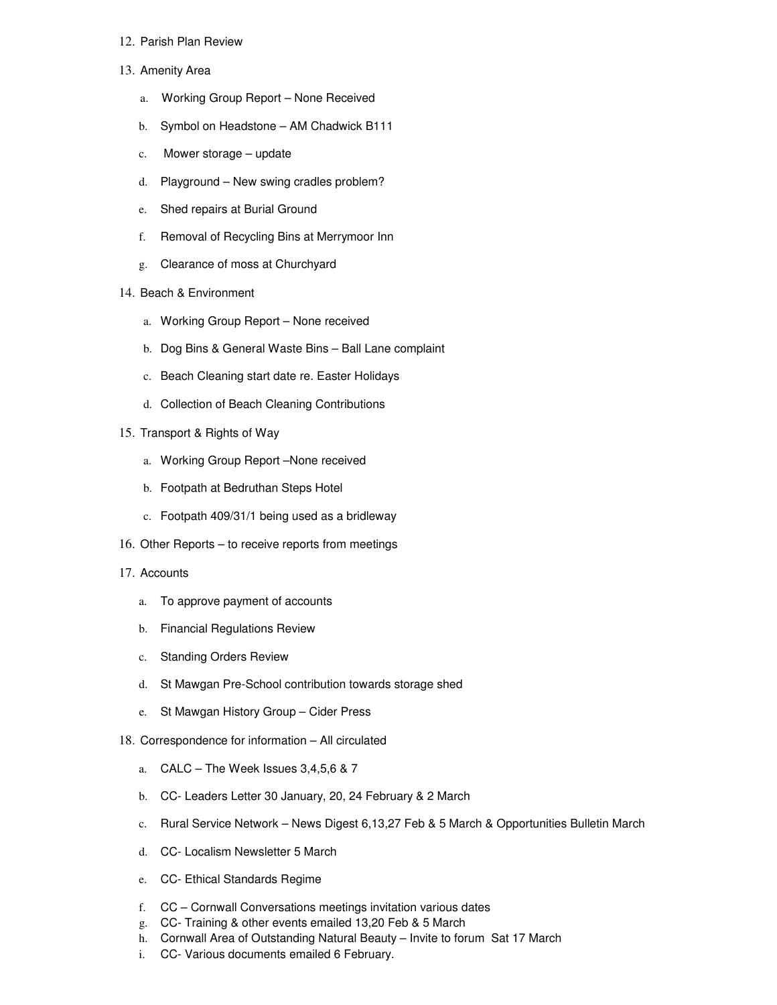## 12. Parish Plan Review

- 13. Amenity Area
	- a. Working Group Report None Received
	- b. Symbol on Headstone AM Chadwick B111
	- c. Mower storage update
	- d. Playground New swing cradles problem?
	- e. Shed repairs at Burial Ground
	- f. Removal of Recycling Bins at Merrymoor Inn
	- g. Clearance of moss at Churchyard
- 14. Beach & Environment
	- a. Working Group Report None received
	- b. Dog Bins & General Waste Bins Ball Lane complaint
	- c. Beach Cleaning start date re. Easter Holidays
	- d. Collection of Beach Cleaning Contributions
- 15. Transport & Rights of Way
	- a. Working Group Report –None received
	- b. Footpath at Bedruthan Steps Hotel
	- c. Footpath 409/31/1 being used as a bridleway
- 16. Other Reports to receive reports from meetings
- 17. Accounts
	- a. To approve payment of accounts
	- b. Financial Regulations Review
	- c. Standing Orders Review
	- d. St Mawgan Pre-School contribution towards storage shed
	- e. St Mawgan History Group Cider Press
- 18. Correspondence for information All circulated
	- a. CALC The Week Issues 3,4,5,6 & 7
	- b. CC- Leaders Letter 30 January, 20, 24 February & 2 March
	- c. Rural Service Network News Digest 6,13,27 Feb & 5 March & Opportunities Bulletin March
	- d. CC- Localism Newsletter 5 March
	- e. CC- Ethical Standards Regime
	- f. CC Cornwall Conversations meetings invitation various dates
	- g. CC- Training & other events emailed 13,20 Feb & 5 March
	- h. Cornwall Area of Outstanding Natural Beauty Invite to forum Sat 17 March
	- i. CC- Various documents emailed 6 February.